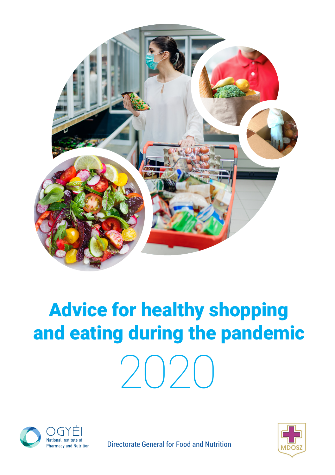

# Advice for healthy shopping and eating during the pandemic 2020





Directorate General for Food and Nutrition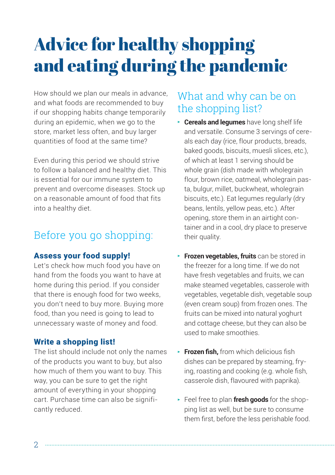## Advice for healthy shopping and eating during the pandemic

How should we plan our meals in advance, and what foods are recommended to buy if our shopping habits change temporarily during an epidemic, when we go to the store, market less often, and buy larger quantities of food at the same time?

Even during this period we should strive to follow a balanced and healthy diet. This is essential for our immune system to prevent and overcome diseases. Stock up on a reasonable amount of food that fits into a healthy diet.

## Before you go shopping:

#### Assess your food supply!

Let's check how much food you have on hand from the foods you want to have at home during this period. If you consider that there is enough food for two weeks, you don't need to buy more. Buying more food, than you need is going to lead to unnecessary waste of money and food.

#### Write a shopping list!

The list should include not only the names of the products you want to buy, but also how much of them you want to buy. This way, you can be sure to get the right amount of everything in your shopping cart. Purchase time can also be significantly reduced.

## What and why can be on the shopping list?

- ▶ **Cereals and legumes** have long shelf life and versatile. Consume 3 servings of cereals each day (rice, flour products, breads, baked goods, biscuits, muesli slices, etc.), of which at least 1 serving should be whole grain (dish made with wholegrain flour, brown rice, oatmeal, wholegrain pasta, bulgur, millet, buckwheat, wholegrain biscuits, etc.). Eat legumes regularly (dry beans, lentils, yellow peas, etc.). After opening, store them in an airtight container and in a cool, dry place to preserve their quality.
- ▶ **Frozen vegetables, fruits** can be stored in the freezer for a long time. If we do not have fresh vegetables and fruits, we can make steamed vegetables, casserole with vegetables, vegetable dish, vegetable soup (even cream soup) from frozen ones. The fruits can be mixed into natural yoghurt and cottage cheese, but they can also be used to make smoothies.
- ▶ **Frozen fish,** from which delicious fish dishes can be prepared by steaming, frying, roasting and cooking (e.g. whole fish, casserole dish, flavoured with paprika).
- ▶ Feel free to plan **fresh goods** for the shopping list as well, but be sure to consume them first, before the less perishable food.

 $\mathcal{D}$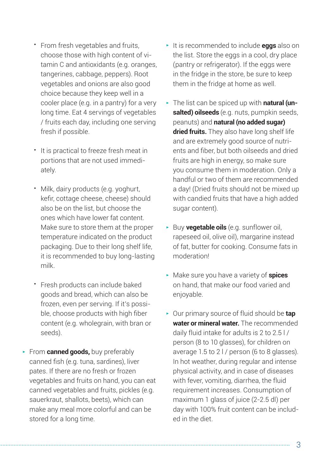- From fresh vegetables and fruits, choose those with high content of vitamin C and antioxidants (e.g. oranges, tangerines, cabbage, peppers). Root vegetables and onions are also good choice because they keep well in a cooler place (e.g. in a pantry) for a very long time. Eat 4 servings of vegetables / fruits each day, including one serving fresh if possible.
- It is practical to freeze fresh meat in portions that are not used immediately.
- Milk, dairy products (e.g. yoghurt, kefir, cottage cheese, cheese) should also be on the list, but choose the ones which have lower fat content. Make sure to store them at the proper temperature indicated on the product packaging. Due to their long shelf life, it is recommended to buy long-lasting milk.
- Fresh products can include baked goods and bread, which can also be frozen, even per serving. If it's possible, choose products with high fiber content (e.g. wholegrain, with bran or seeds).
- ▶ From **canned goods,** buy preferably canned fish (e.g. tuna, sardines), liver pates. If there are no fresh or frozen vegetables and fruits on hand, you can eat canned vegetables and fruits, pickles (e.g. sauerkraut, shallots, beets), which can make any meal more colorful and can be stored for a long time.
- ▶ It is recommended to include **eggs** also on the list. Store the eggs in a cool, dry place (pantry or refrigerator). If the eggs were in the fridge in the store, be sure to keep them in the fridge at home as well.
- ▶ The list can be spiced up with **natural (unsalted) oilseeds** (e.g. nuts, pumpkin seeds, peanuts) and **natural (no added sugar) dried fruits.** They also have long shelf life and are extremely good source of nutrients and fiber, but both oilseeds and dried fruits are high in energy, so make sure you consume them in moderation. Only a handful or two of them are recommended a day! (Dried fruits should not be mixed up with candied fruits that have a high added sugar content).
- ▶ Buy **vegetable oils** (e.g. sunflower oil, rapeseed oil, olive oil), margarine instead of fat, butter for cooking. Consume fats in moderation!
- ▶ Make sure you have a variety of **spices** on hand, that make our food varied and enjoyable.
- ▶ Our primary source of fluid should be **tap water or mineral water.** The recommended daily fluid intake for adults is 2 to 2.5 l / person (8 to 10 glasses), for children on average 1.5 to 2 l / person (6 to 8 glasses). In hot weather, during regular and intense physical activity, and in case of diseases with fever, vomiting, diarrhea, the fluid requirement increases. Consumption of maximum 1 glass of juice (2-2.5 dl) per day with 100% fruit content can be included in the diet.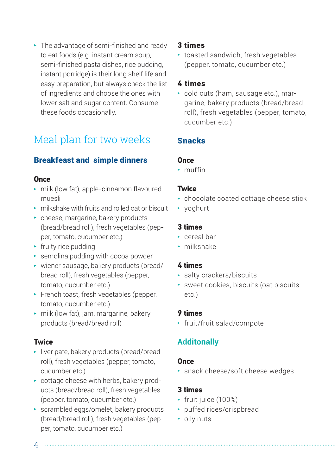$\blacktriangleright$  The advantage of semi-finished and ready to eat foods (e.g. instant cream soup, semi-finished pasta dishes, rice pudding, instant porridge) is their long shelf life and easy preparation, but always check the list of ingredients and choose the ones with lower salt and sugar content. Consume these foods occasionally.

## Meal plan for two weeks

#### Breakfeast and simple dinners

#### **Once**

- ▶ milk (low fat), apple-cinnamon flavoured muesli
- ▶ milkshake with fruits and rolled oat or biscuit
- $\rightarrow$  cheese, margarine, bakery products (bread/bread roll), fresh vegetables (pepper, tomato, cucumber etc.)
- $\blacktriangleright$  fruity rice pudding
- $\rightarrow$  semolina pudding with cocoa powder
- ▶ wiener sausage, bakery products (bread/ bread roll), fresh vegetables (pepper, tomato, cucumber etc.)
- ▶ French toast, fresh vegetables (pepper, tomato, cucumber etc.)
- ▶ milk (low fat), jam, margarine, bakery products (bread/bread roll)

#### **Twice**

- ▶ liver pate, bakery products (bread/bread roll), fresh vegetables (pepper, tomato, cucumber etc.)
- ▶ cottage cheese with herbs, bakery products (bread/bread roll), fresh vegetables (pepper, tomato, cucumber etc.)
- ▶ scrambled eggs/omelet, bakery products (bread/bread roll), fresh vegetables (pepper, tomato, cucumber etc.)

#### **3 times**

▶ toasted sandwich, fresh vegetables (pepper, tomato, cucumber etc.)

#### **4 times**

▶ cold cuts (ham, sausage etc.), margarine, bakery products (bread/bread roll), fresh vegetables (pepper, tomato, cucumber etc.)

#### Snacks

#### **Once**

▶ muffin

#### **Twice**

- ▶ chocolate coated cottage cheese stick
- ▶ yoghurt

#### **3 times**

- ▶ cereal bar
- ▶ milkshake

#### **4 times**

- ▶ salty crackers/biscuits
- ▶ sweet cookies, biscuits (oat biscuits etc.)

#### **9 times**

▶ fruit/fruit salad/compote

#### **Additonally**

#### **Once**

▶ snack cheese/soft cheese wedges

#### **3 times**

- ▶ fruit juice (100%)
- ▶ puffed rices/crispbread
- ▶ oily nuts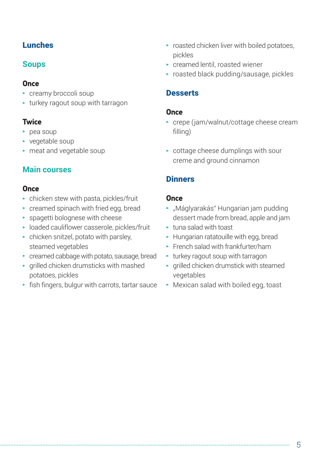#### **Lunches**

#### **Soups**

#### **Once**

- ▶ creamy broccoli soup
- $\cdot$  turkey ragout soup with tarragon

#### **Twice**

- $\blacktriangleright$  pea soup
- ▶ vegetable soup
- ▶ meat and vegetable soup

#### **Main courses**

#### **Once**

- $\rightarrow$  chicken stew with pasta, pickles/fruit
- ▶ creamed spinach with fried egg, bread
- $\rightarrow$  spagetti bolognese with cheese
- ▶ loaded cauliflower casserole, pickles/fruit
- $\triangleright$  chicken snitzel, potato with parsley, steamed vegetables
- ▶ creamed cabbage with potato, sausage, bread
- $\rightarrow$  grilled chicken drumsticks with mashed potatoes, pickles
- $\cdot$  fish fingers, bulgur with carrots, tartar sauce
- $\blacktriangleright$  roasted chicken liver with boiled potatoes, pickles
- ▶ creamed lentil, roasted wiener
- ▶ roasted black pudding/sausage, pickles

#### **Desserts**

#### **Once**

- ▶ crepe (jam/walnut/cottage cheese cream filling)
- $\rightarrow$  cottage cheese dumplings with sour creme and ground cinnamon

#### **Dinners**

#### **Once**

- ▶ "Máglyarakás" Hungarian jam pudding dessert made from bread, apple and jam
- ▶ tuna salad with toast
- ▶ Hungarian ratatouille with egg, bread
- $\blacktriangleright$  French salad with frankfurter/ham
- $\cdot$  turkey ragout soup with tarragon
- ▶ grilled chicken drumstick with steamed vegetables
- ▶ Mexican salad with boiled egg, toast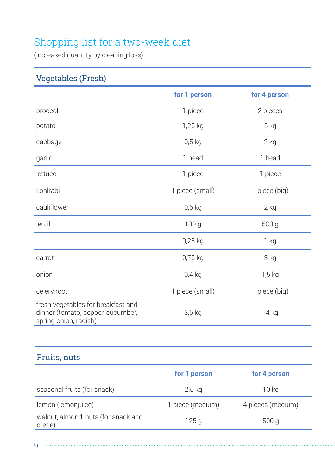## Shopping list for a two-week diet

(increased quantity by cleaning loss)

### Vegetables (Fresh)

|                                                                                                  | for 1 person     | for 4 person    |
|--------------------------------------------------------------------------------------------------|------------------|-----------------|
| broccoli                                                                                         | 1 piece          | 2 pieces        |
| potato                                                                                           | 1,25 kg          | 5 kg            |
| cabbage                                                                                          | $0,5$ kg         | $2$ kg          |
| garlic                                                                                           | 1 head           | 1 head          |
| lettuce                                                                                          | 1 piece          | 1 piece         |
| kohlrabi                                                                                         | 1 piece (small)  | 1 piece (big)   |
| cauliflower                                                                                      | $0,5$ kg         | $2$ kg          |
| lentil                                                                                           | 100 <sub>g</sub> | 500 g           |
|                                                                                                  | $0,25$ kg        | 1 <sub>kg</sub> |
| carrot                                                                                           | 0,75 kg          | 3 kg            |
| onion                                                                                            | $0,4$ kg         | $1,5$ kg        |
| celery root                                                                                      | 1 piece (small)  | 1 piece (big)   |
| fresh vegetables for breakfast and<br>dinner (tomato, pepper, cucumber,<br>spring onion, radish) | $3,5$ kg         | 14 kg           |

## Fruits, nuts

|                                               | for 1 person     | for 4 person      |
|-----------------------------------------------|------------------|-------------------|
| seasonal fruits (for snack)                   | 2,5 kg           | 10 kg             |
| lemon (lemonjuice)                            | 1 piece (medium) | 4 pieces (medium) |
| walnut, almond, nuts (for snack and<br>crepe) | 125q             | 500q              |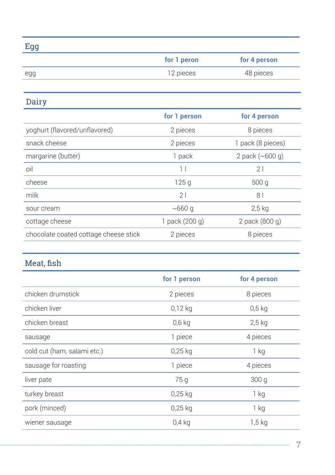|    | ×,     | ٠  |
|----|--------|----|
| K. |        |    |
|    |        |    |
|    | ×<br>٠ | ۰, |

| - - - |             |              |
|-------|-------------|--------------|
|       | for 1 peron | for 4 person |
| egg   | 12 pieces   | 48 pieces    |

Dairy

|                                       | for 1 person   | for 4 person                   |
|---------------------------------------|----------------|--------------------------------|
| yoghurt (flavored/unflavored)         | 2 pieces       | 8 pieces                       |
| snack cheese                          | 2 pieces       | 1 pack (8 pieces)              |
| margarine (butter)                    | 1 pack         | 2 pack $({\sim}600 \text{ q})$ |
| oil                                   | 1 <sup>1</sup> | 21                             |
| cheese                                | 125q           | 500q                           |
| milk                                  | 21             | 8 <sup>1</sup>                 |
| sour cream                            | $\sim$ 660 g   | $2,5$ kg                       |
| cottage cheese                        | 1 pack (200 g) | 2 pack (800 g)                 |
| chocolate coated cottage cheese stick | 2 pieces       | 8 pieces                       |
|                                       |                |                                |

## Meat, fish

|                             | for 1 person | for 4 person |
|-----------------------------|--------------|--------------|
| chicken drumstick           | 2 pieces     | 8 pieces     |
| chicken liver               | $0,12$ kg    | $0.5$ kg     |
| chicken breast              | $0,6$ kg     | $2,5$ kg     |
| sausage                     | 1 piece      | 4 pieces     |
| cold cut (ham, salami etc.) | $0,25$ kg    | 1 kg         |
| sausage for roasting        | 1 piece      | 4 pieces     |
| liver pate                  | 75 g         | 300q         |
| turkey breast               | $0,25$ kg    | 1 kg         |
| pork (minced)               | $0,25$ kg    | 1 kg         |
| wiener sausage              | $0,4$ kg     | $1,5$ kg     |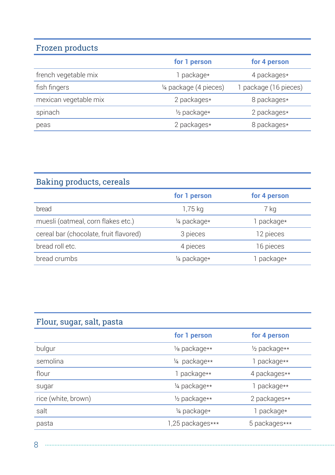## Frozen products

|                       | for 1 person             | for 4 person          |
|-----------------------|--------------------------|-----------------------|
| french vegetable mix  | 1 package*               | 4 packages*           |
| fish fingers          | 1/4 package (4 pieces)   | 1 package (16 pieces) |
| mexican vegetable mix | 2 packages*              | 8 packages*           |
| spinach               | 1/ <sub>2</sub> package* | 2 packages*           |
| peas                  | 2 packages*              | 8 packages*           |

## Baking products, cereals

|                                        | for 1 person | for 4 person |
|----------------------------------------|--------------|--------------|
| bread                                  | 1,75 kg      | 7 kg         |
| muesli (oatmeal, corn flakes etc.)     | 1/4 package* | 1 package*   |
| cereal bar (chocolate, fruit flavored) | 3 pieces     | 12 pieces    |
| bread roll etc.                        | 4 pieces     | 16 pieces    |
| bread crumbs                           | 1/4 package* | package*     |

## Flour, sugar, salt, pasta

|                     | for 1 person     | for 4 person  |
|---------------------|------------------|---------------|
| bulgur              | 1/8 package**    | 1/2 package** |
| semolina            | 1/4 package**    | 1 package**   |
| flour               | 1 package**      | 4 packages**  |
| sugar               | 1/4 package**    | 1 package**   |
| rice (white, brown) | 1/2 package**    | 2 packages**  |
| salt                | 1/4 package*     | 1 package*    |
| pasta               | 1,25 packages*** | 5 packages*** |